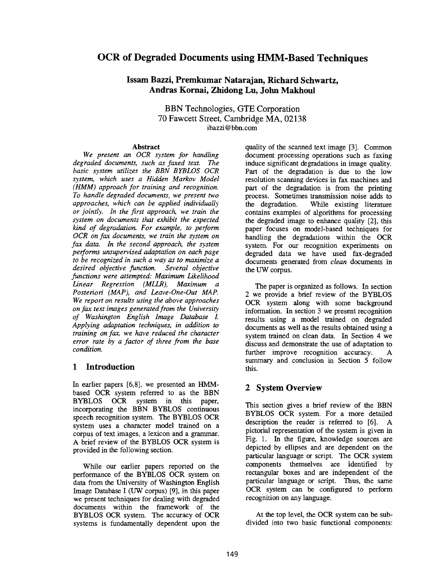# OCR of Degraded Documents using HMM-Based Techniques

## Issam Bazzi, Premkumar Natarajan, Richard Schwartz, Andras Kornai, Zhidong Lu, John Makhoul

BBN Technologies, GTE Corporation 70 Fawcett Street, Cambridge MA, 02138 ibazzi @bbn.com

#### Abstract

*We present an OCR system for handling degraded documents, such as faxed text. The basic system utilizes the BBN BYBLOS OCR system, which uses a Hidden Markov Model (HMM) approach for training and recognition. To handle degraded documents, we present two approaches, which can be applied individually or jointly. In the first approach, we train the system on documents that exhibit the expected kind of degradation. For example, to perform OCR on fax documents, we train the system on fax data. In the second approach, the system performs unsupervised adaptation on each page to be recognized in such a way as to maximize a desired objective junction. Several objective junctions were attempted: Maximum Likelihood Linear Regression (MUR), Maximum a Posteriori (MAP), and Leave-One-Out MAP. We report on results using the above approaches on fax text images generated from the University of Washington English Image Database* I. *Applying adaptation techniques, in addition to training on fax, we have reduced the character error rate by a factor of three from the base condition.* 

## 1 Introduction

In earlier papers [6,8], we presented an HMMbased OCR system referred to as the BBN<br>BYBLOS OCR system in this paper, BYBLOS OCR system in this paper, incorporating the BBN BYBLOS continuous speech recognition system. The BYBLOS OCR system uses a character model trained on a corpus of text images, a lexicon and a grammar. A brief review of the BYBLOS OCR system is provided in the following section.

While our earlier papers reported on the performance of the BYBLOS OCR system on data from the University of Washington English Image Database I (UW corpus) [9], in this paper we present techniques for dealing with degraded documents within the framework of the BYBLOS OCR system. The accuracy of OCR systems is fundamentally dependent upon the quality of the scanned text image [3]. Common document processing operations such as faxing induce significant degradations in image quality. Part of the degradation is due to the low resolution scanning devices in fax machines and part of the degradation is from the printing process. Sometimes transmission noise adds to the degradation. While existing literature contains examples of algorithms for processing the degraded image to enhance quality [2], this paper focuses on model-based techniques for handling the degradations within the OCR system. For our recognition experiments on degraded data we have used fax-degraded documents generated from *clean* documents in the UW corpus.

The paper is organized as follows. In section 2 we provide a brief review of the BYBLOS OCR system along with some background information. In section 3 we present recognition results using a model trained on degraded documents as well as the results obtained using a system trained on clean data. In Section 4 we discuss and demonstrate the use of adaptation to further improve recognition accuracy. A summary and conclusion in Section 5 follow this.

## 2 System Overview

This section gives a brief review of the BBN BYBLOS OCR system. For a more detailed description the reader is referred to [6]. A pictorial representation of the system is given in Fig. 1. In the figure, knowledge sources are depicted by ellipses and are dependent on the particular language or script. The OCR system components themselves are identified by rectangular boxes and are independent of the particular language or script. Thus, the same OCR system can be configured to perform recognition on any language.

At the top level, the OCR system can be subdivided into two basic functional components: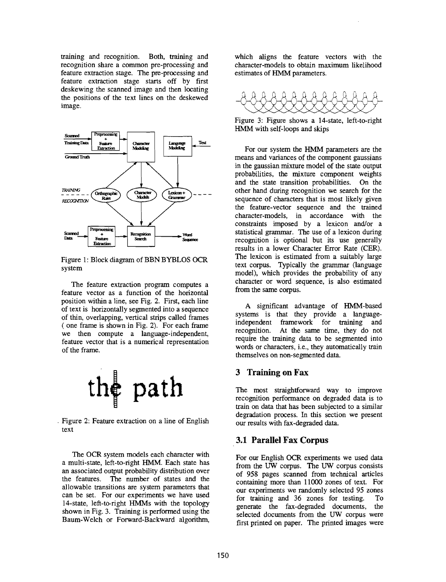training and recognition. Both, training and recognition share a common pre-processing and feature extraction stage. The pre-processing and feature extraction stage starts off by first deskewing the scanned image and then locating the positions of the text lines on the deskewed image.



Figure 1: Block diagram of BBN BYBLOS OCR system

The feature extraction program computes a feature vector as a function of the horizontal position within a line, see Fig. 2. First, each line of text is horizontally segmented into a sequence of thin, overlapping, vertical strips called frames ( one frame is shown in Fig. 2). For each frame we then compute a language-independent, feature vector that is a numerical representation of the frame.



. Figure 2: Feature extraction on a line of English text

The OCR system models each character with a multi-state, left-to-right HMM. Each state has an associated output probability distribution over the features. The number of states and the allowable transitions are system parameters that can be set. For our experiments we have used 14-state, left-to-right HMMs with the topology shown in Fig. 3. Training is performed using the Baum-Welch or Forward-Backward algorithm,

which aligns the feature vectors with the character-models to obtain maximum likelihood estimates of HMM parameters.



Figure 3: Figure shows a 14-state, left-to-right HMM with self-loops and skips

For our system the HMM parameters are the means and variances of the component gaussians in the gaussian mixture model of the state output probabilities, the mixture component weights and the state transition probabilities. On the other hand during recognition we search for the sequence of characters that is most likely given the feature-vector sequence and the trained character-models, in accordance with the constraints imposed by a lexicon and/or a statistical grammar. The use of a lexicon during recognition is optional but its use generally results in a lower Character Error Rate (CER). The lexicon is estimated from a suitably large text corpus. Typically the grammar (language model), which provides the probability of any character or word sequence, is also estimated from the same corpus.

A significant advantage of HMM-based systems is that they provide a languageindependent framework for training and recognition. At the same time, they do not require the training data to be segmented into words or characters, i.e., they automatically train themselves on non-segmented data.

#### 3 **Training on Fax**

The most straightforward way to improve recognition perfonnance on degraded data is to train on data that has been subjected to a similar degradation process. In this section we present our results with fax-degraded data.

## **3.1 Parallel Fax Corpus**

For our English OCR experiments we used data from the UW corpus. The UW corpus consists of 958 pages scanned from technical articles containing more than 11000 zones of text. For our experiments we randomly selected 95 zones for training and 36 zones for testing. To generate the fax-degraded documents, the selected documents from the UW corpus were first printed on paper. The printed images were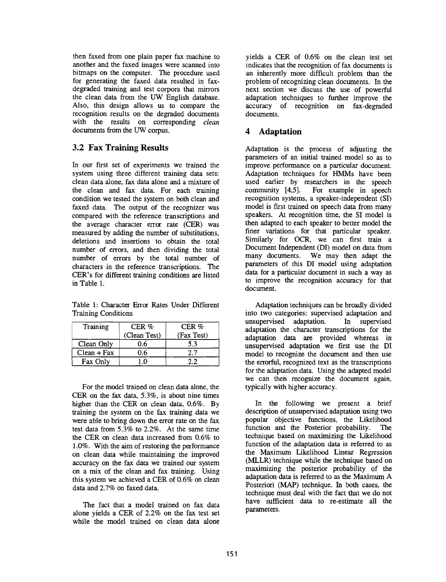then faxed from one plain paper fax machine to another and the faxed images were scanned into bitmaps on the computer. The procedure used for generating the faxed data resulted in faxdegraded training and test corpora that mirrors the clean data from the UW English database. Also, this design allows us to compare the recognition results on the degraded documents with the results on corresponding *clean*  documents from the UW corpus.

## 3.2 **Fax Training Results**

In our first set of experiments we trained the system using three different training data sets: clean data alone, fax data alone and a mixture of the clean and fax data. For each training condition we tested the system on both clean and faxed data. The output of the recognizer was compared with the reference transcriptions and the average character error rate (CER) was measured by adding the number of substitutions, deletions and insertions to obtain the total number of errors, and then dividing the total number of errors by the total number of characters in the reference transcriptions. The CER's for different training conditions are listed in Table 1.

Table 1: Character Error Rates Under Different Training Conditions

| Training      | CER $%$      | CER $%$    |  |
|---------------|--------------|------------|--|
|               | (Clean Test) | (Fax Test) |  |
| Clean Only    | 0.6          | 5.3        |  |
| $Clear + Fax$ | 7.6          | 2.7        |  |
| Fax Only      |              | フフ         |  |

For the model trained on clean data alone, the CER on the fax data, 5.3%, is about nine times higher than the CER on clean data,  $0.6\%$ . By training the system on the fax training data we were able to bring down the error rate on the fax test data from 5.3% to 2.2%. At the same time the CER on clean data increased from 0.6% to 1.0%. With the aim of restoring the performance on clean data while maintaining the improved accuracy on the fax data we trained our system on a mix of the clean and fax training. Using this system we achieved a CER of 0.6% on clean data and 2.7% on faxed data

The fact that a model trained on fax data alone yields a CER of 2.2% on the fax test set while the model trained on clean data alone

yields a CER of 0.6% on the clean test set indicates that the recognition of fax documents is an inherently more diffIcult problem than the problem of recognizing clean documents. In the next section we discuss the use of powerful adaptation techniques to further improve the accuracy of recognition on fax-degraded documents.

## **4 Adaptation**

Adaptation is the process of adjusting the parameters of an initial trained model so as to improve performance on a particular document. Adaptation techniques for HMMs have been used earlier by researchers in the speech community [4,5]. For example in speech recognition systems, a speaker-independent (SI) model is first trained on speech data from many speakers. At recognition time, the SI model is then adapted to each speaker to better model the finer variations for that particular speaker. Similarly for OCR, we can first train a Document Independent (DI) model on data from many documents. We may then adapt the parameters of this DI model using adaptation data for a particular document in such a way as to improve the recognition accuracy for that document.

Adaptation techniques can be broadly divided into two categories: supervised adaptation and unsupervised adaptation. adaptation the character transcriptions for the adaptation data are provided whereas in unsupervised adaptation we first use the DI model to recognize the document and then use the errorful, recognized text as the transcriptions for the adaptation data. Using the adapted model we can then recognize the document again, typically with higher accuracy.

In the following we present a brief description of unsupervised adaptation using two popular objective functions, the Likelihood function and the Posterior probability. The technique based on maximizing the Likelihood function of the adaptation data is referred to as the Maximum Likelihood Linear Regression (MLLR) technique while the technique based on maximizing the posterior probability of the adaptation data is referred to as the Maximum A Posteriori (MAP) technique. In both cases, the technique must deal with the fact that we do not have sufficient data to re-estimate all the parameters.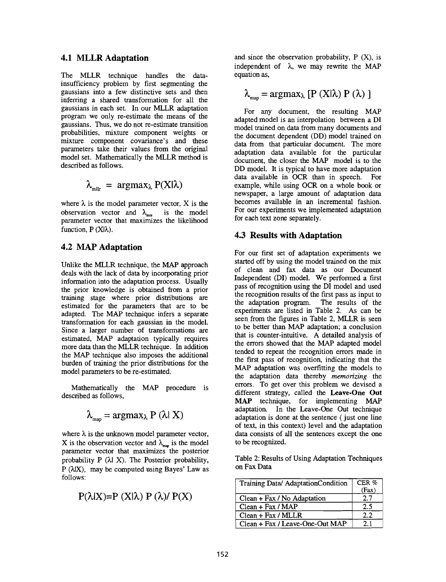#### 4.1 MLLR Adaptation

The MLLR technique handles the datainsufficiency problem by first segmenting the gaussians into a few distinctive sets and then inferring a shared transformation for all the gaussians in each set. In our MLLR adaptation program we only re-estimate the means of the gaussians. Thus, we do not re-estimate transition probabilities, mixture component weights or mixture component covariance's and these parameters take their values from the original model set. Mathematically the MLLR method is described as follows.

$$
\lambda_{\text{mlir}} = \text{argmax}_{\lambda} P(X|\lambda)
$$

where  $\lambda$  is the model parameter vector, X is the observation vector and  $\lambda_{\text{min}}$  is the model parameter vector that maximizes the likelihood function,  $P(X|\lambda)$ .

### 4.2 MAP Adaptation

Unlike the MLLR technique, the MAP approach deals with the lack of data by incorporating prior information into the adaptation process. Usually the prior knowledge is obtained from a prior trammg stage where prior distributions are estimated for the parameters that are to be adapted. The MAP technique infers a separate transformation for each gaussian in the model. Since a larger number of transformations are estimated, MAP adaptation typically requires more data than the MLLR technique. In addition the MAP technique also imposes the additional burden of training the prior distributions for the model parameters to be re-estimated.

Mathematically the MAP procedure is described as follows,

$$
\lambda_{\text{map}} = \text{argmax}_{\lambda} P (\lambda | X)
$$

where  $\lambda$  is the unknown model parameter vector, X is the observation vector and  $\lambda_{\text{map}}$  is the model parameter vector that maximizes the posterior probability  $P$  ( $\lambda$ | X). The Posterior probability, P ( $\lambda$ IX), may be computed using Bayes' Law as follows:

$$
P(\lambda|X)=P(X|\lambda) P(\lambda)/P(X)
$$

and since the observation probability,  $P(X)$ , is independent of  $\lambda$ , we may rewrite the MAP equation as,

$$
\lambda_{\text{map}} = \text{argmax}_{\lambda} [P (X|\lambda) P (\lambda) ]
$$

For any document, the resulting MAP adapted model is an interpolation between a DI model trained on data from many documents and the document dependent (DD) model trained on data from that particular document. The more adaptation data available for the particular document, the closer the MAP model is to the DD model. It is typical to have more adaptation data available in OCR than in speech. For example, while using OCR on a whole book or newspaper, a large amount of adaptation data becomes available in an incremental fashion. For our experiments we implemented adaptation for each text zone separately.

#### 4.3 Results with Adaptation

For our first set of adaptation experiments we started off by using the model trained on the mix of clean and fax data as our Document Independent (D!) model. We performed a first pass of recognition using the DI model and used the recognition results of the first pass as input to the adaptation program. The results of the experiments are listed in Table 2. As can be seen from the figures in Table 2, MLLR is seen to be better than MAP adaptation; a conclusion that is counter-intuitive. A detailed analysis of the errors showed that the MAP adapted model tended to repeat the recognition errors made in the first pass of recognition, indicating that the MAP adaptation was overfitting the models to the adaptation data thereby *memorizing* the errors. To get over this problem we devised a different strategy, called the Leave-One Out MAP technique, for implementing MAP adaptation. In the Leave-One Out technique adaptation is done at the sentence ( just one line of text, in this context) level and the adaptation data consists of all the sentences except the one to be recognized.

Table 2: Results of Using Adaptation Techniques on Fax Data

| Training Data/ AdaptationCondition | CER $%$ |
|------------------------------------|---------|
|                                    | (Fax)   |
| Clean + Fax / No Adaptation        | 2.7     |
| $Clear + Fax / MAP$                | 2.5     |
| Clean + Fax / MLLR                 | 2.2     |
| Clean + Fax / Leave-One-Out MAP    | 71      |